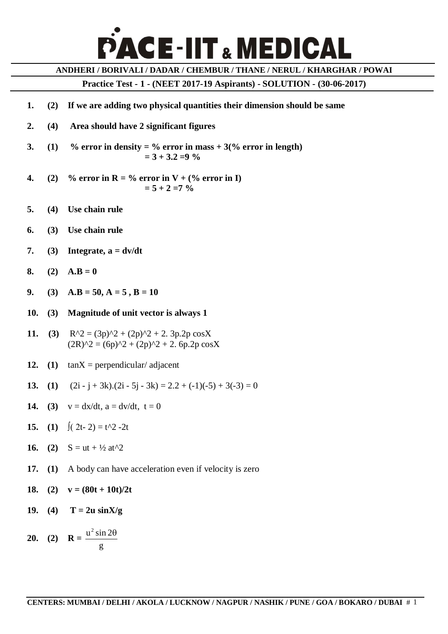## **CE-IIT & MEDICAL**

**ANDHERI / BORIVALI / DADAR / CHEMBUR / THANE / NERUL / KHARGHAR / POWAI**

**Practice Test - 1 - (NEET 2017-19 Aspirants) - SOLUTION - (30-06-2017)**

- **1. (2) If we are adding two physical quantities their dimension should be same**
- **2. (4) Area should have 2 significant figures**
- **3. (1)** % error in density = % error in mass  $+3$  (% error in length)  **= 3 + 3.2 =9 %**
- **4.** (2) % error in  $R = \%$  error in  $V + \%$  error in I)  $= 5 + 2 = 7\%$
- **5. (4) Use chain rule**
- **6. (3) Use chain rule**
- 7. **(3) Integrate,**  $a = dv/dt$
- **8. (2) A.B** = 0
- **9. (3)**  $A.B = 50, A = 5, B = 10$
- **10. (3) Magnitude of unit vector is always 1**
- **11. (3)**  $R^2 = (3p)^2 + (2p)^2 + 2$ .  $3p.2p \cos X$  $(2R)^2 = (6p)^2 + (2p)^2 + 2.6p.2p \cos X$
- **12. (1)** tanX = perpendicular/ adjacent
- **13. (1)**  $(2i j + 3k) \cdot (2i 5j 3k) = 2 \cdot 2 + (-1)(-5) + 3(-3) = 0$
- **14. (3)**  $v = dx/dt$ ,  $a = dv/dt$ ,  $t = 0$
- **15. (1)** ∫(  $2t-2$ ) =  $t^2-2t$
- **16. (2)**  $S = ut + \frac{1}{2}at^2$
- **17. (1)** A body can have acceleration even if velocity is zero
- 18. **(2)**  $v = (80t + 10t)/2t$
- **19.** (4) **T** =  $2u \sin X/g$

**20. (2) R =**   $u^2$  sin 2 $\theta$ g  $\theta$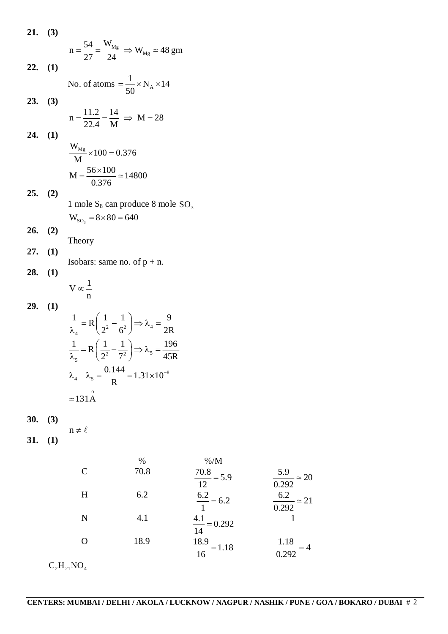| 21. | (3) |                                                                                                                     |
|-----|-----|---------------------------------------------------------------------------------------------------------------------|
|     |     | $n = \frac{54}{27} = \frac{W_{Mg}}{24} \Rightarrow W_{Mg} \approx 48$ gm                                            |
| 22. | (1) |                                                                                                                     |
|     |     | No. of atoms = $\frac{1}{50} \times N_A \times 14$                                                                  |
| 23. | (3) |                                                                                                                     |
|     |     | $n = \frac{11.2}{22.4} = \frac{14}{M} \Rightarrow M = 28$                                                           |
| 24. | (1) |                                                                                                                     |
|     |     | $\frac{W_{Mg}}{M}$ × 100 = 0.376                                                                                    |
|     |     | $M = \frac{56 \times 100}{0.376} \approx 14800$                                                                     |
| 25. | (2) |                                                                                                                     |
|     |     | 1 mole $S_8$ can produce 8 mole $SO_3$                                                                              |
|     |     | $W_{SO_3} = 8 \times 80 = 640$                                                                                      |
| 26. | (2) | Theory                                                                                                              |
| 27. | (1) |                                                                                                                     |
| 28. | (1) | Isobars: same no. of $p + n$ .                                                                                      |
|     |     | $V \propto \frac{1}{n}$                                                                                             |
| 29. | (1) |                                                                                                                     |
|     |     | $\frac{1}{\lambda} = R\left(\frac{1}{2^2} - \frac{1}{6^2}\right) \Rightarrow \lambda_4 = \frac{9}{2R}$              |
|     |     |                                                                                                                     |
|     |     | $\frac{1}{\lambda_{5}} = R\left(\frac{1}{2^{2}} - \frac{1}{7^{2}}\right) \Rightarrow \lambda_{5} = \frac{196}{45R}$ |
|     |     | $\lambda_4 - \lambda_5 = \frac{0.144}{R} = 1.31 \times 10^{-8}$                                                     |
|     |     | $\simeq$ 131A                                                                                                       |
| 30. | (3) |                                                                                                                     |
| 31. | (1) | $n \neq \ell$                                                                                                       |
|     |     |                                                                                                                     |
|     |     | $\% / M$<br>$\%$<br>70.8<br>$\mathcal{C}$                                                                           |
|     |     | $\frac{70.8}{12} = 5.9$                                                                                             |
|     |     | 6.2<br>H<br>$\frac{6.2}{1}$ = 6.2                                                                                   |
|     |     | 4.1<br>N<br>$\frac{4.1}{14} = 0.292$                                                                                |
|     |     | 18.9<br>$\mathbf O$<br>$\frac{18.9}{16} = 1.18$                                                                     |
|     |     |                                                                                                                     |

 $C_2H_{21}NO_4$ 

 $\frac{5.9}{300} \approx 20$ 

 $\frac{6.2}{200} \approx 21$ 

1

 $\frac{1.18}{2.282}$  = 4 0.292

 $=$ 

 $\approx$ 

 $\simeq$ 

0.292

0.292